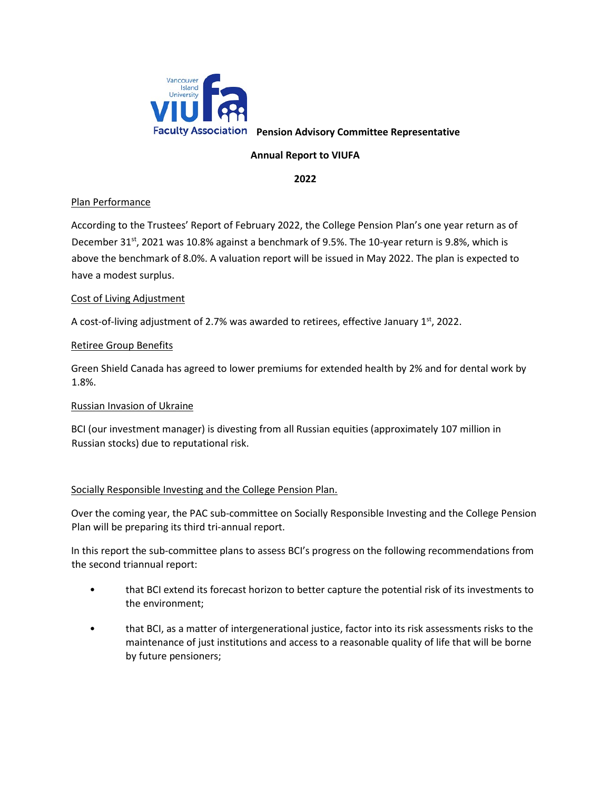

**Faculty Association** Pension Advisory Committee Representative

# **Annual Report to VIUFA**

**2022** 

## Plan Performance

According to the Trustees' Report of February 2022, the College Pension Plan's one year return as of December 31<sup>st</sup>, 2021 was 10.8% against a benchmark of 9.5%. The 10-year return is 9.8%, which is above the benchmark of 8.0%. A valuation report will be issued in May 2022. The plan is expected to have a modest surplus.

### Cost of Living Adjustment

A cost-of-living adjustment of 2.7% was awarded to retirees, effective January  $1<sup>st</sup>$ , 2022.

## Retiree Group Benefits

Green Shield Canada has agreed to lower premiums for extended health by 2% and for dental work by 1.8%.

### Russian Invasion of Ukraine

BCI (our investment manager) is divesting from all Russian equities (approximately 107 million in Russian stocks) due to reputational risk.

### Socially Responsible Investing and the College Pension Plan.

Over the coming year, the PAC sub-committee on Socially Responsible Investing and the College Pension Plan will be preparing its third tri-annual report.

In this report the sub-committee plans to assess BCI's progress on the following recommendations from the second triannual report:

- that BCI extend its forecast horizon to better capture the potential risk of its investments to the environment;
- that BCI, as a matter of intergenerational justice, factor into its risk assessments risks to the maintenance of just institutions and access to a reasonable quality of life that will be borne by future pensioners;